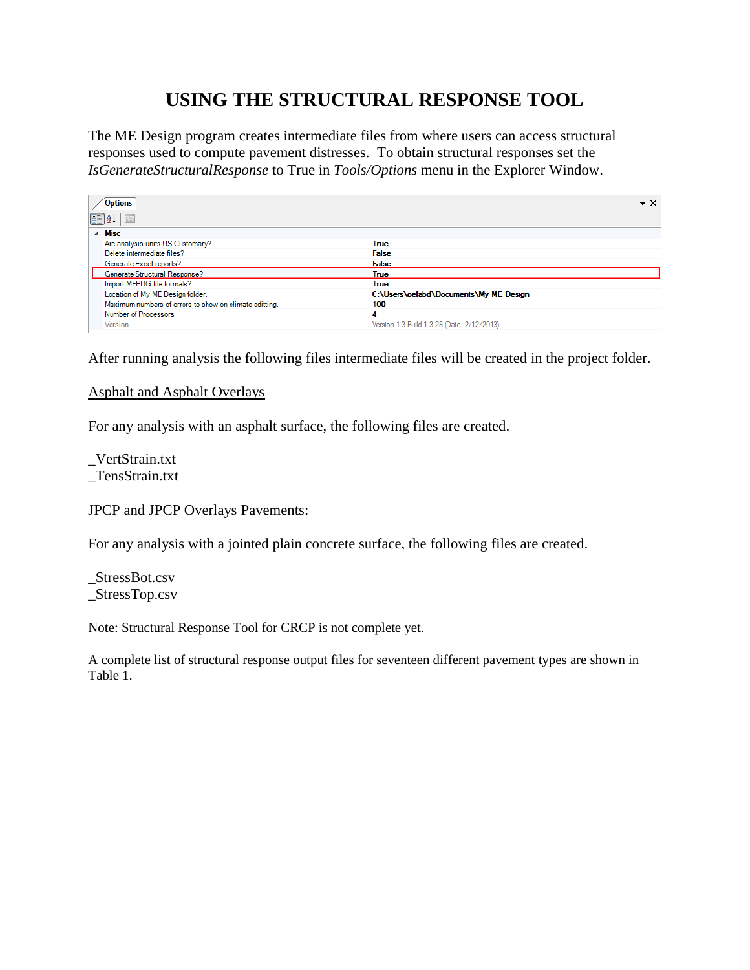## **USING THE STRUCTURAL RESPONSE TOOL**

The ME Design program creates intermediate files from where users can access structural responses used to compute pavement distresses. To obtain structural responses set the *IsGenerateStructuralResponse* to True in *Tools/Options* menu in the Explorer Window.

| <b>Options</b>                                         | $\star$ $\times$                           |
|--------------------------------------------------------|--------------------------------------------|
| $\boxed{3}$ $\frac{1}{2}$ $\downarrow$ $\mid$<br>$\Xi$ |                                            |
| $\triangle$ Misc                                       |                                            |
| Are analysis units US Customary?                       | <b>True</b>                                |
| Delete intermediate files?                             | <b>False</b>                               |
| Generate Excel reports?                                | <b>False</b>                               |
| Generate Structural Response?                          | True                                       |
| Import MEPDG file formats?                             | True                                       |
| Location of My ME Design folder.                       | C:\Users\oelabd\Documents\My ME Design     |
| Maximum numbers of errors to show on climate editting. | 100                                        |
| Number of Processors                                   | A                                          |
| Version                                                | Version 1.3 Build 1.3.28 (Date: 2/12/2013) |

After running analysis the following files intermediate files will be created in the project folder.

## Asphalt and Asphalt Overlays

For any analysis with an asphalt surface, the following files are created.

\_VertStrain.txt \_TensStrain.txt

## JPCP and JPCP Overlays Pavements:

For any analysis with a jointed plain concrete surface, the following files are created.

\_StressBot.csv \_StressTop.csv

Note: Structural Response Tool for CRCP is not complete yet.

A complete list of structural response output files for seventeen different pavement types are shown in Table 1.